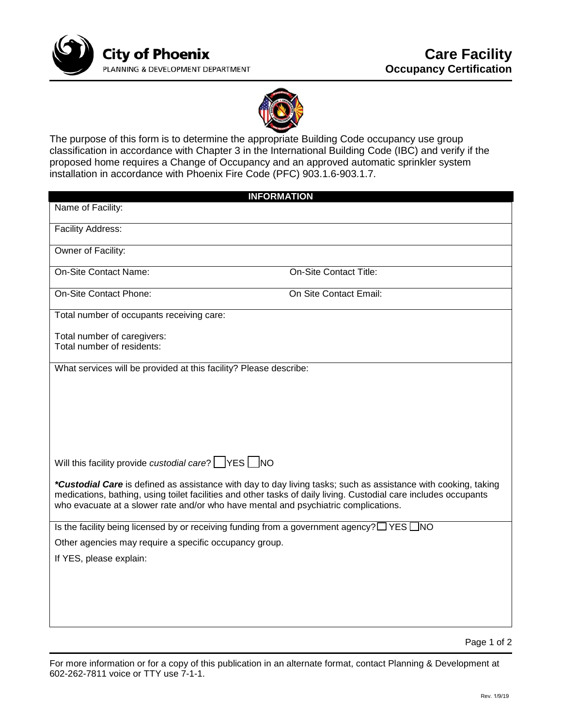



The purpose of this form is to determine the appropriate Building Code occupancy use group classification in accordance with Chapter 3 in the International Building Code (IBC) and verify if the proposed home requires a Change of Occupancy and an approved automatic sprinkler system installation in accordance with Phoenix Fire Code (PFC) 903.1.6-903.1.7.

| <b>INFORMATION</b>                                                                                                                                                                                                                                                                                                        |                               |  |
|---------------------------------------------------------------------------------------------------------------------------------------------------------------------------------------------------------------------------------------------------------------------------------------------------------------------------|-------------------------------|--|
| Name of Facility:                                                                                                                                                                                                                                                                                                         |                               |  |
| <b>Facility Address:</b>                                                                                                                                                                                                                                                                                                  |                               |  |
| Owner of Facility:                                                                                                                                                                                                                                                                                                        |                               |  |
| <b>On-Site Contact Name:</b>                                                                                                                                                                                                                                                                                              | <b>On-Site Contact Title:</b> |  |
| On-Site Contact Phone:                                                                                                                                                                                                                                                                                                    | On Site Contact Email:        |  |
| Total number of occupants receiving care:                                                                                                                                                                                                                                                                                 |                               |  |
| Total number of caregivers:                                                                                                                                                                                                                                                                                               |                               |  |
| Total number of residents:                                                                                                                                                                                                                                                                                                |                               |  |
| What services will be provided at this facility? Please describe:                                                                                                                                                                                                                                                         |                               |  |
|                                                                                                                                                                                                                                                                                                                           |                               |  |
|                                                                                                                                                                                                                                                                                                                           |                               |  |
|                                                                                                                                                                                                                                                                                                                           |                               |  |
|                                                                                                                                                                                                                                                                                                                           |                               |  |
|                                                                                                                                                                                                                                                                                                                           |                               |  |
| Will this facility provide custodial care? VES NO                                                                                                                                                                                                                                                                         |                               |  |
| *Custodial Care is defined as assistance with day to day living tasks; such as assistance with cooking, taking<br>medications, bathing, using toilet facilities and other tasks of daily living. Custodial care includes occupants<br>who evacuate at a slower rate and/or who have mental and psychiatric complications. |                               |  |
| Is the facility being licensed by or receiving funding from a government agency? $\Box$ YES $\Box$ NO                                                                                                                                                                                                                     |                               |  |
| Other agencies may require a specific occupancy group.                                                                                                                                                                                                                                                                    |                               |  |
| If YES, please explain:                                                                                                                                                                                                                                                                                                   |                               |  |
|                                                                                                                                                                                                                                                                                                                           |                               |  |
|                                                                                                                                                                                                                                                                                                                           |                               |  |
|                                                                                                                                                                                                                                                                                                                           |                               |  |
|                                                                                                                                                                                                                                                                                                                           |                               |  |

Page 1 of 2

For more information or for a copy of this publication in an alternate format, contact Planning & Development at 602-262-7811 voice or TTY use 7-1-1.